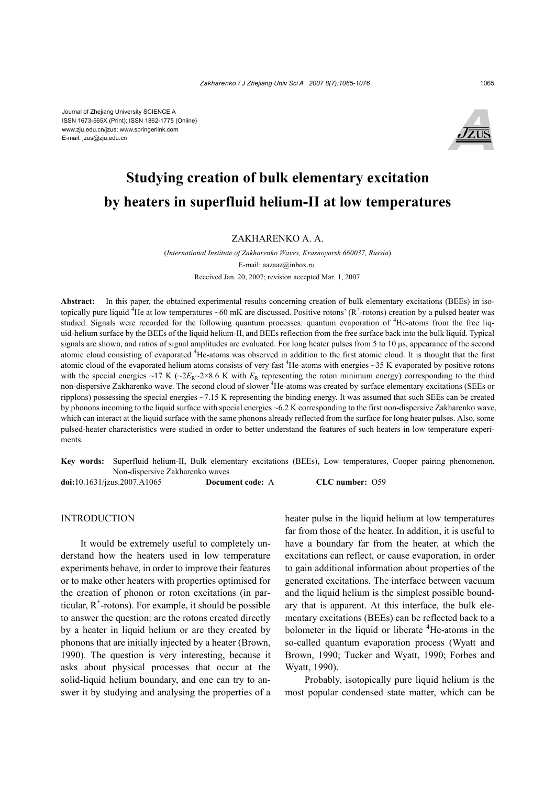Journal of Zhejiang University SCIENCE A ISSN 1673-565X (Print); ISSN 1862-1775 (Online) www.zju.edu.cn/jzus; www.springerlink.com E-mail: jzus@zju.edu.cn



# **Studying creation of bulk elementary excitation by heaters in superfluid helium-II at low temperatures**

## ZAKHARENKO A. A.

(*International Institute of Zakharenko Waves, Krasnoyarsk 660037, Russia*) E-mail: aazaaz@inbox.ru Received Jan. 20, 2007; revision accepted Mar. 1, 2007

Abstract: In this paper, the obtained experimental results concerning creation of bulk elementary excitations (BEEs) in isotopically pure liquid <sup>4</sup>He at low temperatures ~60 mK are discussed. Positive rotons' ( $R^+$ -rotons) creation by a pulsed heater was studied. Signals were recorded for the following quantum processes: quantum evaporation of <sup>4</sup>He-atoms from the free liquid-helium surface by the BEEs of the liquid helium-II, and BEEs reflection from the free surface back into the bulk liquid. Typical signals are shown, and ratios of signal amplitudes are evaluated. For long heater pulses from 5 to 10 µs, appearance of the second atomic cloud consisting of evaporated <sup>4</sup>He-atoms was observed in addition to the first atomic cloud. It is thought that the first atomic cloud of the evaporated helium atoms consists of very fast  $4$ He-atoms with energies  $\sim$ 35 K evaporated by positive rotons with the special energies ~17 K ( $\sim 2E_R \sim 2 \times 8.6$  K with  $E_R$  representing the roton minimum energy) corresponding to the third non-dispersive Zakharenko wave. The second cloud of slower <sup>4</sup>He-atoms was created by surface elementary excitations (SEEs or ripplons) possessing the special energies  $\sim$ 7.15 K representing the binding energy. It was assumed that such SEEs can be created by phonons incoming to the liquid surface with special energies ~6.2 K corresponding to the first non-dispersive Zakharenko wave, which can interact at the liquid surface with the same phonons already reflected from the surface for long heater pulses. Also, some pulsed-heater characteristics were studied in order to better understand the features of such heaters in low temperature experiments.

**Key words:** Superfluid helium-II, Bulk elementary excitations (BEEs), Low temperatures, Cooper pairing phenomenon, Non-dispersive Zakharenko waves

**doi:**10.1631/jzus.2007.A1065 **Document code:** A **CLC number:** O59

INTRODUCTION

It would be extremely useful to completely understand how the heaters used in low temperature experiments behave, in order to improve their features or to make other heaters with properties optimised for the creation of phonon or roton excitations (in particular,  $R^+$ -rotons). For example, it should be possible to answer the question: are the rotons created directly by a heater in liquid helium or are they created by phonons that are initially injected by a heater (Brown, 1990). The question is very interesting, because it asks about physical processes that occur at the solid-liquid helium boundary, and one can try to answer it by studying and analysing the properties of a

heater pulse in the liquid helium at low temperatures far from those of the heater. In addition, it is useful to have a boundary far from the heater, at which the excitations can reflect, or cause evaporation, in order to gain additional information about properties of the generated excitations. The interface between vacuum and the liquid helium is the simplest possible boundary that is apparent. At this interface, the bulk elementary excitations (BEEs) can be reflected back to a bolometer in the liquid or liberate <sup>4</sup>He-atoms in the so-called quantum evaporation process (Wyatt and Brown, 1990; Tucker and Wyatt, 1990; Forbes and Wyatt, 1990).

Probably, isotopically pure liquid helium is the most popular condensed state matter, which can be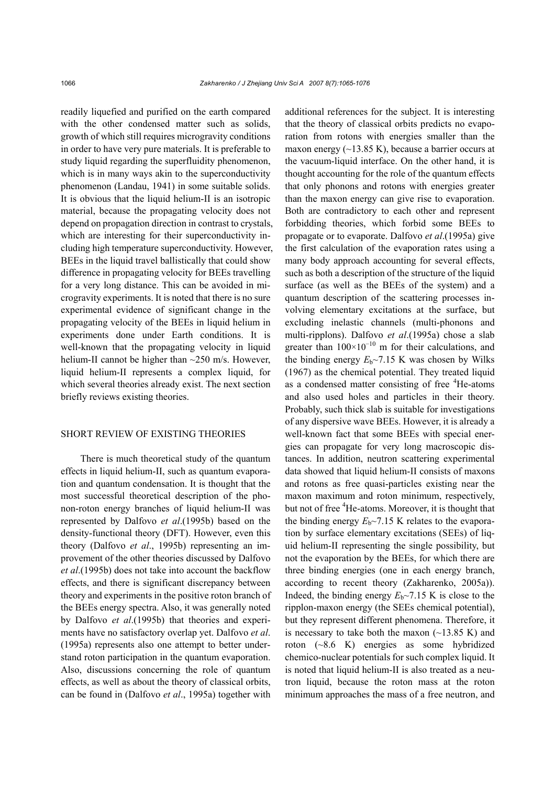readily liquefied and purified on the earth compared with the other condensed matter such as solids, growth of which still requires microgravity conditions in order to have very pure materials. It is preferable to study liquid regarding the superfluidity phenomenon, which is in many ways akin to the superconductivity phenomenon (Landau, 1941) in some suitable solids. It is obvious that the liquid helium-II is an isotropic material, because the propagating velocity does not depend on propagation direction in contrast to crystals, which are interesting for their superconductivity including high temperature superconductivity. However, BEEs in the liquid travel ballistically that could show difference in propagating velocity for BEEs travelling for a very long distance. This can be avoided in microgravity experiments. It is noted that there is no sure experimental evidence of significant change in the propagating velocity of the BEEs in liquid helium in experiments done under Earth conditions. It is well-known that the propagating velocity in liquid helium-II cannot be higher than ~250 m/s. However, liquid helium-II represents a complex liquid, for which several theories already exist. The next section briefly reviews existing theories.

# SHORT REVIEW OF EXISTING THEORIES

There is much theoretical study of the quantum effects in liquid helium-II, such as quantum evaporation and quantum condensation. It is thought that the most successful theoretical description of the phonon-roton energy branches of liquid helium-II was represented by Dalfovo *et al*.(1995b) based on the density-functional theory (DFT). However, even this theory (Dalfovo *et al*., 1995b) representing an improvement of the other theories discussed by Dalfovo *et al*.(1995b) does not take into account the backflow effects, and there is significant discrepancy between theory and experiments in the positive roton branch of the BEEs energy spectra. Also, it was generally noted by Dalfovo *et al*.(1995b) that theories and experiments have no satisfactory overlap yet. Dalfovo *et al*. (1995a) represents also one attempt to better understand roton participation in the quantum evaporation. Also, discussions concerning the role of quantum effects, as well as about the theory of classical orbits, can be found in (Dalfovo *et al*., 1995a) together with additional references for the subject. It is interesting that the theory of classical orbits predicts no evaporation from rotons with energies smaller than the maxon energy  $(\sim 13.85 \text{ K})$ , because a barrier occurs at the vacuum-liquid interface. On the other hand, it is thought accounting for the role of the quantum effects that only phonons and rotons with energies greater than the maxon energy can give rise to evaporation. Both are contradictory to each other and represent forbidding theories, which forbid some BEEs to propagate or to evaporate. Dalfovo *et al*.(1995a) give the first calculation of the evaporation rates using a many body approach accounting for several effects, such as both a description of the structure of the liquid surface (as well as the BEEs of the system) and a quantum description of the scattering processes involving elementary excitations at the surface, but excluding inelastic channels (multi-phonons and multi-ripplons). Dalfovo *et al*.(1995a) chose a slab greater than  $100\times10^{-10}$  m for their calculations, and the binding energy  $E_b \sim 7.15$  K was chosen by Wilks (1967) as the chemical potential. They treated liquid as a condensed matter consisting of free <sup>4</sup>He-atoms and also used holes and particles in their theory. Probably, such thick slab is suitable for investigations of any dispersive wave BEEs. However, it is already a well-known fact that some BEEs with special energies can propagate for very long macroscopic distances. In addition, neutron scattering experimental data showed that liquid helium-II consists of maxons and rotons as free quasi-particles existing near the maxon maximum and roton minimum, respectively, but not of free <sup>4</sup>He-atoms. Moreover, it is thought that the binding energy  $E_b \sim 7.15$  K relates to the evaporation by surface elementary excitations (SEEs) of liquid helium-II representing the single possibility, but not the evaporation by the BEEs, for which there are three binding energies (one in each energy branch, according to recent theory (Zakharenko, 2005a)). Indeed, the binding energy  $E_b \sim 7.15$  K is close to the ripplon-maxon energy (the SEEs chemical potential), but they represent different phenomena. Therefore, it is necessary to take both the maxon  $(-13.85 \text{ K})$  and roton (~8.6 K) energies as some hybridized chemico-nuclear potentials for such complex liquid. It is noted that liquid helium-II is also treated as a neutron liquid, because the roton mass at the roton minimum approaches the mass of a free neutron, and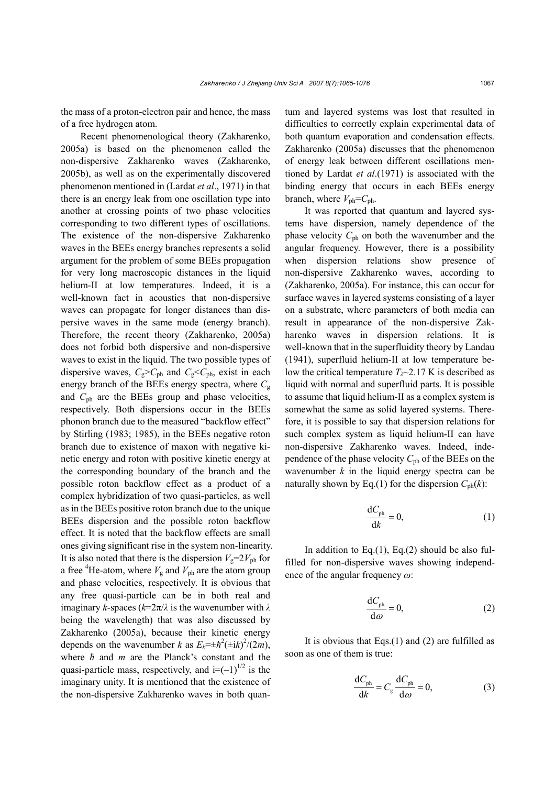the mass of a proton-electron pair and hence, the mass of a free hydrogen atom.

Recent phenomenological theory (Zakharenko, 2005a) is based on the phenomenon called the non-dispersive Zakharenko waves (Zakharenko, 2005b), as well as on the experimentally discovered phenomenon mentioned in (Lardat *et al*., 1971) in that there is an energy leak from one oscillation type into another at crossing points of two phase velocities corresponding to two different types of oscillations. The existence of the non-dispersive Zakharenko waves in the BEEs energy branches represents a solid argument for the problem of some BEEs propagation for very long macroscopic distances in the liquid helium-II at low temperatures. Indeed, it is a well-known fact in acoustics that non-dispersive waves can propagate for longer distances than dispersive waves in the same mode (energy branch). Therefore, the recent theory (Zakharenko, 2005a) does not forbid both dispersive and non-dispersive waves to exist in the liquid. The two possible types of dispersive waves,  $C_g > C_{ph}$  and  $C_g < C_{ph}$ , exist in each energy branch of the BEEs energy spectra, where  $C<sub>g</sub>$ and *C*ph are the BEEs group and phase velocities, respectively. Both dispersions occur in the BEEs phonon branch due to the measured "backflow effect" by Stirling (1983; 1985), in the BEEs negative roton branch due to existence of maxon with negative kinetic energy and roton with positive kinetic energy at the corresponding boundary of the branch and the possible roton backflow effect as a product of a complex hybridization of two quasi-particles, as well as in the BEEs positive roton branch due to the unique BEEs dispersion and the possible roton backflow effect. It is noted that the backflow effects are small ones giving significant rise in the system non-linearity. It is also noted that there is the dispersion  $V_g=2V_{ph}$  for a free <sup>4</sup>He-atom, where  $V_g$  and  $V_{ph}$  are the atom group and phase velocities, respectively. It is obvious that any free quasi-particle can be in both real and imaginary *k*-spaces (*k*=2π/*λ* is the wavenumber with *λ* being the wavelength) that was also discussed by Zakharenko (2005a), because their kinetic energy depends on the wavenumber *k* as  $E_k = \pm \hbar^2 (\pm i k)^2 / (2m)$ , where *ħ* and *m* are the Planck's constant and the quasi-particle mass, respectively, and  $i=(-1)^{1/2}$  is the imaginary unity. It is mentioned that the existence of the non-dispersive Zakharenko waves in both quantum and layered systems was lost that resulted in difficulties to correctly explain experimental data of both quantum evaporation and condensation effects. Zakharenko (2005a) discusses that the phenomenon of energy leak between different oscillations mentioned by Lardat *et al*.(1971) is associated with the binding energy that occurs in each BEEs energy branch, where  $V_{\text{ph}}=C_{\text{ph}}$ .

It was reported that quantum and layered systems have dispersion, namely dependence of the phase velocity *C*ph on both the wavenumber and the angular frequency. However, there is a possibility when dispersion relations show presence of non-dispersive Zakharenko waves, according to (Zakharenko, 2005a). For instance, this can occur for surface waves in layered systems consisting of a layer on a substrate, where parameters of both media can result in appearance of the non-dispersive Zakharenko waves in dispersion relations. It is well-known that in the superfluidity theory by Landau (1941), superfluid helium-II at low temperature below the critical temperature  $T_{\lambda}$  ~ 2.17 K is described as liquid with normal and superfluid parts. It is possible to assume that liquid helium-II as a complex system is somewhat the same as solid layered systems. Therefore, it is possible to say that dispersion relations for such complex system as liquid helium-II can have non-dispersive Zakharenko waves. Indeed, independence of the phase velocity *C*ph of the BEEs on the wavenumber *k* in the liquid energy spectra can be naturally shown by Eq.(1) for the dispersion  $C_{ph}(k)$ :

$$
\frac{\mathrm{d}C_{\mathrm{ph}}}{\mathrm{d}k} = 0,\tag{1}
$$

In addition to Eq. $(1)$ , Eq. $(2)$  should be also fulfilled for non-dispersive waves showing independence of the angular frequency *ω*:

$$
\frac{\mathrm{d}C_{\mathrm{ph}}}{\mathrm{d}\omega} = 0,\tag{2}
$$

It is obvious that Eqs.(1) and (2) are fulfilled as soon as one of them is true:

$$
\frac{dC_{\text{ph}}}{dk} = C_{\text{g}} \frac{dC_{\text{ph}}}{d\omega} = 0, \tag{3}
$$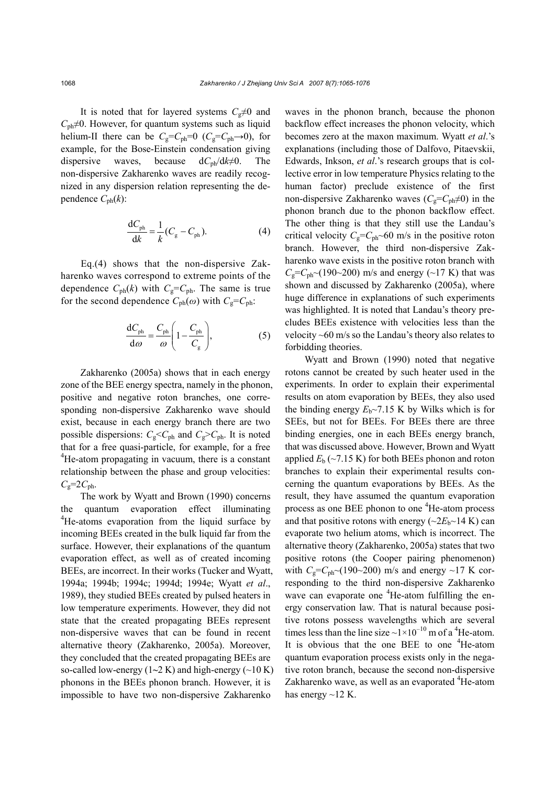It is noted that for layered systems  $C_g \neq 0$  and  $C_{ph} \neq 0$ . However, for quantum systems such as liquid helium-II there can be  $C_g = C_{ph} = 0$  ( $C_g = C_{ph} \rightarrow 0$ ), for example, for the Bose-Einstein condensation giving dispersive waves, because  $dC_{ph}/dk \neq 0$ . The non-dispersive Zakharenko waves are readily recognized in any dispersion relation representing the dependence  $C_{ph}(k)$ :

$$
\frac{\mathrm{d}C_{\mathrm{ph}}}{\mathrm{d}k} = \frac{1}{k}(C_{\mathrm{g}} - C_{\mathrm{ph}}). \tag{4}
$$

Eq.(4) shows that the non-dispersive Zakharenko waves correspond to extreme points of the dependence  $C_{ph}(k)$  with  $C_g = C_{ph}$ . The same is true for the second dependence  $C_{ph}(\omega)$  with  $C_g = C_{ph}$ .

$$
\frac{dC_{ph}}{d\omega} = \frac{C_{ph}}{\omega} \left( 1 - \frac{C_{ph}}{C_g} \right),
$$
 (5)

Zakharenko (2005a) shows that in each energy zone of the BEE energy spectra, namely in the phonon, positive and negative roton branches, one corresponding non-dispersive Zakharenko wave should exist, because in each energy branch there are two possible dispersions:  $C_g \leq C_{ph}$  and  $C_g \geq C_{ph}$ . It is noted that for a free quasi-particle, for example, for a free <sup>4</sup>He-atom propagating in vacuum, there is a constant relationship between the phase and group velocities:  $C_{\rm g}$ =2 $C_{\rm ph}$ .

The work by Wyatt and Brown (1990) concerns the quantum evaporation effect illuminating <sup>4</sup>He-atoms evaporation from the liquid surface by incoming BEEs created in the bulk liquid far from the surface. However, their explanations of the quantum evaporation effect, as well as of created incoming BEEs, are incorrect. In their works (Tucker and Wyatt, 1994a; 1994b; 1994c; 1994d; 1994e; Wyatt *et al*., 1989), they studied BEEs created by pulsed heaters in low temperature experiments. However, they did not state that the created propagating BEEs represent non-dispersive waves that can be found in recent alternative theory (Zakharenko, 2005a). Moreover, they concluded that the created propagating BEEs are so-called low-energy  $(1-2 K)$  and high-energy  $(-10 K)$ phonons in the BEEs phonon branch. However, it is impossible to have two non-dispersive Zakharenko

waves in the phonon branch, because the phonon backflow effect increases the phonon velocity, which becomes zero at the maxon maximum. Wyatt *et al*.'s explanations (including those of Dalfovo, Pitaevskii, Edwards, Inkson, *et al*.'s research groups that is collective error in low temperature Physics relating to the human factor) preclude existence of the first non-dispersive Zakharenko waves ( $C_g = C_{ph} \neq 0$ ) in the phonon branch due to the phonon backflow effect. The other thing is that they still use the Landau's critical velocity  $C_g = C_{ph}$  60 m/s in the positive roton branch. However, the third non-dispersive Zakharenko wave exists in the positive roton branch with  $C_{\rm g}$ = $C_{\rm ph}$  ~(190~200) m/s and energy (~17 K) that was shown and discussed by Zakharenko (2005a), where huge difference in explanations of such experiments was highlighted. It is noted that Landau's theory precludes BEEs existence with velocities less than the velocity ~60 m/s so the Landau's theory also relates to forbidding theories.

Wyatt and Brown (1990) noted that negative rotons cannot be created by such heater used in the experiments. In order to explain their experimental results on atom evaporation by BEEs, they also used the binding energy  $E_b \sim 7.15$  K by Wilks which is for SEEs, but not for BEEs. For BEEs there are three binding energies, one in each BEEs energy branch, that was discussed above. However, Brown and Wyatt applied  $E<sub>b</sub>$  (~7.15 K) for both BEEs phonon and roton branches to explain their experimental results concerning the quantum evaporations by BEEs. As the result, they have assumed the quantum evaporation process as one BEE phonon to one <sup>4</sup>He-atom process and that positive rotons with energy  $(\sim 2E_b \sim 14 \text{ K})$  can evaporate two helium atoms, which is incorrect. The alternative theory (Zakharenko, 2005a) states that two positive rotons (the Cooper pairing phenomenon) with  $C_g = C_{ph} \sim (190 \sim 200)$  m/s and energy  $\sim 17$  K corresponding to the third non-dispersive Zakharenko wave can evaporate one <sup>4</sup>He-atom fulfilling the energy conservation law. That is natural because positive rotons possess wavelengths which are several times less than the line size  $\sim$ 1×10<sup>-10</sup> m of a <sup>4</sup>He-atom. It is obvious that the one BEE to one  ${}^{4}$ He-atom quantum evaporation process exists only in the negative roton branch, because the second non-dispersive Zakharenko wave, as well as an evaporated <sup>4</sup>He-atom has energy  $\sim$ 12 K.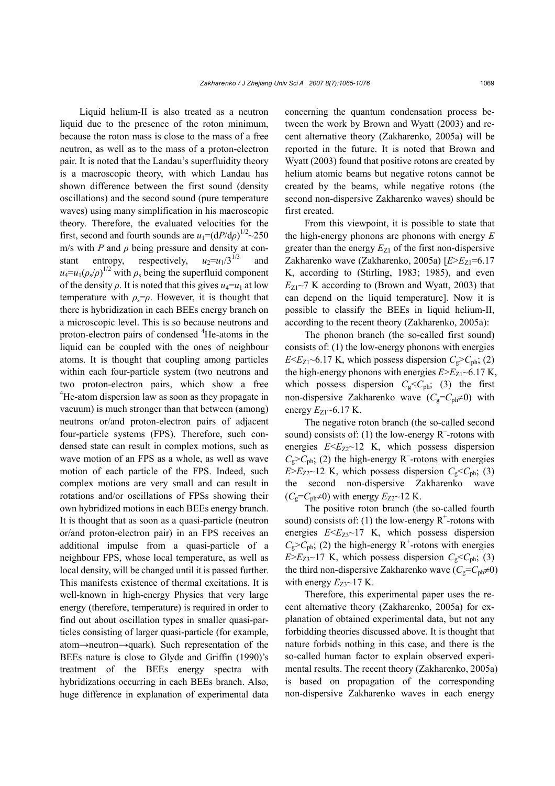Liquid helium-II is also treated as a neutron liquid due to the presence of the roton minimum, because the roton mass is close to the mass of a free neutron, as well as to the mass of a proton-electron pair. It is noted that the Landau's superfluidity theory is a macroscopic theory, with which Landau has shown difference between the first sound (density oscillations) and the second sound (pure temperature waves) using many simplification in his macroscopic theory. Therefore, the evaluated velocities for the first, second and fourth sounds are  $u_1 = (dP/d\rho)^{1/2} \sim 250$ m/s with *P* and  $\rho$  being pressure and density at constant entropy, respectively,  $u_2=u_1/3^{1/3}$ and  $u_4 = u_1(\rho_s/\rho)^{1/2}$  with  $\rho_s$  being the superfluid component of the density  $\rho$ . It is noted that this gives  $u_4 = u_1$  at low temperature with  $\rho_s = \rho$ . However, it is thought that there is hybridization in each BEEs energy branch on a microscopic level. This is so because neutrons and proton-electron pairs of condensed <sup>4</sup>He-atoms in the liquid can be coupled with the ones of neighbour atoms. It is thought that coupling among particles within each four-particle system (two neutrons and two proton-electron pairs, which show a free <sup>4</sup>He-atom dispersion law as soon as they propagate in vacuum) is much stronger than that between (among) neutrons or/and proton-electron pairs of adjacent four-particle systems (FPS). Therefore, such condensed state can result in complex motions, such as wave motion of an FPS as a whole, as well as wave motion of each particle of the FPS. Indeed, such complex motions are very small and can result in rotations and/or oscillations of FPSs showing their own hybridized motions in each BEEs energy branch. It is thought that as soon as a quasi-particle (neutron or/and proton-electron pair) in an FPS receives an additional impulse from a quasi-particle of a neighbour FPS, whose local temperature, as well as local density, will be changed until it is passed further. This manifests existence of thermal excitations. It is well-known in high-energy Physics that very large energy (therefore, temperature) is required in order to find out about oscillation types in smaller quasi-particles consisting of larger quasi-particle (for example, atom→neutron→quark). Such representation of the BEEs nature is close to Glyde and Griffin (1990)'s treatment of the BEEs energy spectra with hybridizations occurring in each BEEs branch. Also, huge difference in explanation of experimental data

concerning the quantum condensation process between the work by Brown and Wyatt (2003) and recent alternative theory (Zakharenko, 2005a) will be reported in the future. It is noted that Brown and Wyatt (2003) found that positive rotons are created by helium atomic beams but negative rotons cannot be created by the beams, while negative rotons (the second non-dispersive Zakharenko waves) should be first created.

From this viewpoint, it is possible to state that the high-energy phonons are phonons with energy *E* greater than the energy  $E_{Z1}$  of the first non-dispersive Zakharenko wave (Zakharenko, 2005a)  $[E>E_{Z1} = 6.17]$ K, according to (Stirling, 1983; 1985), and even  $E_{Z1}$ ~7 K according to (Brown and Wyatt, 2003) that can depend on the liquid temperature]. Now it is possible to classify the BEEs in liquid helium-II, according to the recent theory (Zakharenko, 2005a):

The phonon branch (the so-called first sound) consists of: (1) the low-energy phonons with energies  $E \le E_{Z1}$  –6.17 K, which possess dispersion  $C_e$  >  $C_{ph}$ ; (2) the high-energy phonons with energies  $E>E_{Z1}$ ~6.17 K, which possess dispersion  $C_g \leq C_{ph}$ ; (3) the first non-dispersive Zakharenko wave  $(C_g = C_{ph} \neq 0)$  with energy  $E_{Z1}$ ~6.17 K.

The negative roton branch (the so-called second sound) consists of: (1) the low-energy  $R^-$ -rotons with energies  $E \le E_{Z2}$  I2 K, which possess dispersion  $C_{\rm g}$ > $C_{\rm ph}$ ; (2) the high-energy R<sup>-</sup>-rotons with energies  $E>E_{Z2}$ ~12 K, which possess dispersion  $C_g$ < $C_{ph}$ ; (3) the second non-dispersive Zakharenko wave  $(C_e=C_{\text{ph}}\neq 0)$  with energy  $E_{Z2}$  2 K.

The positive roton branch (the so-called fourth sound) consists of: (1) the low-energy  $R^+$ -rotons with energies  $E \le E_{Z3} \sim 17$  K, which possess dispersion  $C_{\rm g}$ > $C_{\rm ph}$ ; (2) the high-energy R<sup>+</sup>-rotons with energies  $E>E_{Z3}$ ~17 K, which possess dispersion  $C_g$ < $C_{ph}$ ; (3) the third non-dispersive Zakharenko wave  $(C_g = C_{ph} \neq 0)$ with energy  $E_{Z3}$ ~17 K.

Therefore, this experimental paper uses the recent alternative theory (Zakharenko, 2005a) for explanation of obtained experimental data, but not any forbidding theories discussed above. It is thought that nature forbids nothing in this case, and there is the so-called human factor to explain observed experimental results. The recent theory (Zakharenko, 2005a) is based on propagation of the corresponding non-dispersive Zakharenko waves in each energy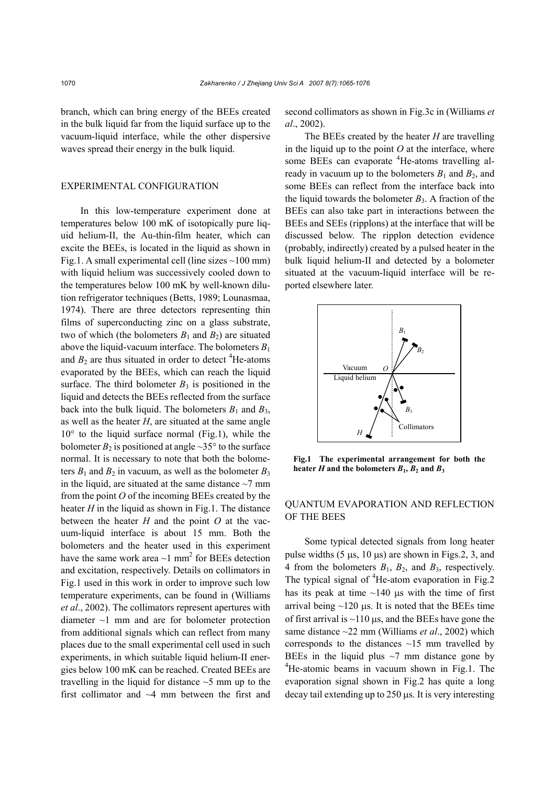branch, which can bring energy of the BEEs created in the bulk liquid far from the liquid surface up to the vacuum-liquid interface, while the other dispersive waves spread their energy in the bulk liquid.

#### EXPERIMENTAL CONFIGURATION

In this low-temperature experiment done at temperatures below 100 mK of isotopically pure liquid helium-II, the Au-thin-film heater, which can excite the BEEs, is located in the liquid as shown in Fig.1. A small experimental cell (line sizes  $\sim$ 100 mm) with liquid helium was successively cooled down to the temperatures below 100 mK by well-known dilution refrigerator techniques (Betts, 1989; Lounasmaa, 1974). There are three detectors representing thin films of superconducting zinc on a glass substrate, two of which (the bolometers  $B_1$  and  $B_2$ ) are situated above the liquid-vacuum interface. The bolometers  $B_1$ and  $B_2$  are thus situated in order to detect  ${}^{4}$ He-atoms evaporated by the BEEs, which can reach the liquid surface. The third bolometer  $B_3$  is positioned in the liquid and detects the BEEs reflected from the surface back into the bulk liquid. The bolometers  $B_1$  and  $B_3$ , as well as the heater *H*, are situated at the same angle  $10^{\circ}$  to the liquid surface normal (Fig.1), while the bolometer  $B_2$  is positioned at angle  $\sim$ 35° to the surface normal. It is necessary to note that both the bolometers  $B_1$  and  $B_2$  in vacuum, as well as the bolometer  $B_3$ in the liquid, are situated at the same distance  $\sim$ 7 mm from the point *O* of the incoming BEEs created by the heater *H* in the liquid as shown in Fig.1. The distance between the heater *H* and the point *O* at the vacuum-liquid interface is about 15 mm. Both the bolometers and the heater used in this experiment have the same work area  $\sim$ 1 mm<sup>2</sup> for BEEs detection and excitation, respectively. Details on collimators in Fig.1 used in this work in order to improve such low temperature experiments, can be found in (Williams *et al*., 2002). The collimators represent apertures with diameter ~1 mm and are for bolometer protection from additional signals which can reflect from many places due to the small experimental cell used in such experiments, in which suitable liquid helium-II energies below 100 mK can be reached. Created BEEs are travelling in the liquid for distance  $\sim$  5 mm up to the first collimator and ~4 mm between the first and

second collimators as shown in Fig.3c in (Williams *et al*., 2002).

The BEEs created by the heater *H* are travelling in the liquid up to the point  $O$  at the interface, where some BEEs can evaporate <sup>4</sup>He-atoms travelling already in vacuum up to the bolometers  $B_1$  and  $B_2$ , and some BEEs can reflect from the interface back into the liquid towards the bolometer  $B_3$ . A fraction of the BEEs can also take part in interactions between the BEEs and SEEs (ripplons) at the interface that will be discussed below. The ripplon detection evidence (probably, indirectly) created by a pulsed heater in the bulk liquid helium-II and detected by a bolometer situated at the vacuum-liquid interface will be reported elsewhere later.



**Fig.1 The experimental arrangement for both the** heater *H* and the bolometers  $B_1$ ,  $B_2$  and  $B_3$ 

# QUANTUM EVAPORATION AND REFLECTION OF THE BEES

Some typical detected signals from long heater pulse widths  $(5 \mu s, 10 \mu s)$  are shown in Figs. 2, 3, and 4 from the bolometers *B*1, *B*2, and *B*3, respectively. The typical signal of  ${}^{4}$ He-atom evaporation in Fig.2 has its peak at time  $\sim$ 140  $\mu$ s with the time of first arrival being  $\sim$ 120  $\mu$ s. It is noted that the BEEs time of first arrival is  $\sim$ 110  $\mu$ s, and the BEEs have gone the same distance ~22 mm (Williams *et al*., 2002) which corresponds to the distances  $\sim$ 15 mm travelled by BEEs in the liquid plus  $\sim$ 7 mm distance gone by <sup>4</sup>He-atomic beams in vacuum shown in Fig.1. The evaporation signal shown in Fig.2 has quite a long decay tail extending up to 250 µs. It is very interesting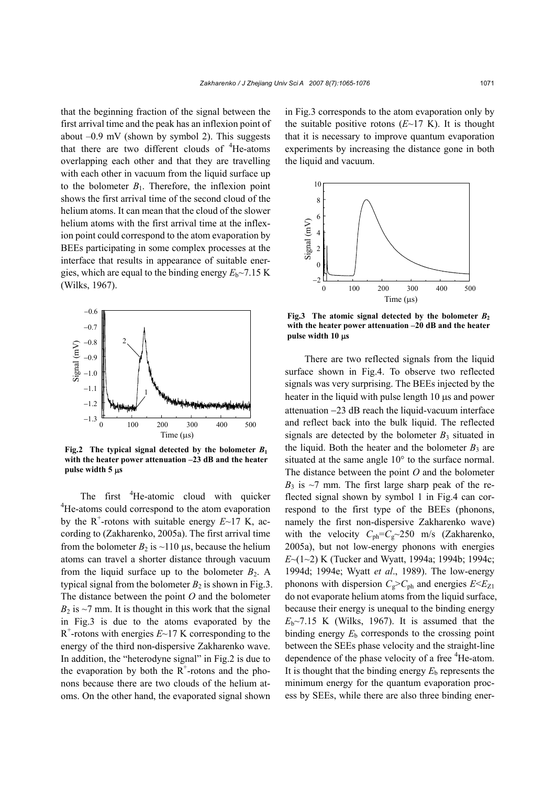that the beginning fraction of the signal between the first arrival time and the peak has an inflexion point of about  $-0.9$  mV (shown by symbol 2). This suggests that there are two different clouds of  $4$ He-atoms overlapping each other and that they are travelling with each other in vacuum from the liquid surface up to the bolometer  $B_1$ . Therefore, the inflexion point shows the first arrival time of the second cloud of the helium atoms. It can mean that the cloud of the slower helium atoms with the first arrival time at the inflexion point could correspond to the atom evaporation by BEEs participating in some complex processes at the interface that results in appearance of suitable energies, which are equal to the binding energy  $E_b \sim 7.15$  K (Wilks, 1967).



**Fig.2** The typical signal detected by the bolometer  $B_1$ **with the heater power attenuation –23 dB and the heater pulse width 5** µ**s** 

The first  ${}^{4}$ He-atomic cloud with quicker <sup>4</sup>He-atoms could correspond to the atom evaporation by the  $R^+$ -rotons with suitable energy  $E \sim 17$  K, according to (Zakharenko, 2005a). The first arrival time from the bolometer  $B_2$  is ~110 us, because the helium atoms can travel a shorter distance through vacuum from the liquid surface up to the bolometer  $B_2$ . A typical signal from the bolometer  $B_2$  is shown in Fig.3. The distance between the point *O* and the bolometer  $B_2$  is  $\sim$ 7 mm. It is thought in this work that the signal in Fig.3 is due to the atoms evaporated by the  $R^+$ -rotons with energies  $E \sim 17$  K corresponding to the energy of the third non-dispersive Zakharenko wave. In addition, the "heterodyne signal" in Fig.2 is due to the evaporation by both the  $R^+$ -rotons and the phonons because there are two clouds of the helium atoms. On the other hand, the evaporated signal shown

in Fig.3 corresponds to the atom evaporation only by the suitable positive rotons  $(E~17 K)$ . It is thought that it is necessary to improve quantum evaporation experiments by increasing the distance gone in both the liquid and vacuum.



**Fig.3** The atomic signal detected by the bolometer  $B_2$ **with the heater power attenuation –20 dB and the heater pulse width 10** µ**s**

There are two reflected signals from the liquid surface shown in Fig.4. To observe two reflected signals was very surprising. The BEEs injected by the heater in the liquid with pulse length 10  $\mu$ s and power attenuation −23 dB reach the liquid-vacuum interface and reflect back into the bulk liquid. The reflected signals are detected by the bolometer  $B_3$  situated in the liquid. Both the heater and the bolometer  $B_3$  are situated at the same angle 10° to the surface normal. The distance between the point *O* and the bolometer  $B_3$  is  $\sim$ 7 mm. The first large sharp peak of the reflected signal shown by symbol 1 in Fig.4 can correspond to the first type of the BEEs (phonons, namely the first non-dispersive Zakharenko wave) with the velocity  $C_{ph} = C_g \sim 250$  m/s (Zakharenko, 2005a), but not low-energy phonons with energies *E*~(1~2) K (Tucker and Wyatt, 1994a; 1994b; 1994c; 1994d; 1994e; Wyatt *et al*., 1989). The low-energy phonons with dispersion  $C_g > C_{ph}$  and energies  $E \le E_{Z1}$ do not evaporate helium atoms from the liquid surface, because their energy is unequal to the binding energy  $E<sub>b</sub>$ ~7.15 K (Wilks, 1967). It is assumed that the binding energy  $E<sub>b</sub>$  corresponds to the crossing point between the SEEs phase velocity and the straight-line dependence of the phase velocity of a free <sup>4</sup>He-atom. It is thought that the binding energy  $E<sub>b</sub>$  represents the minimum energy for the quantum evaporation process by SEEs, while there are also three binding ener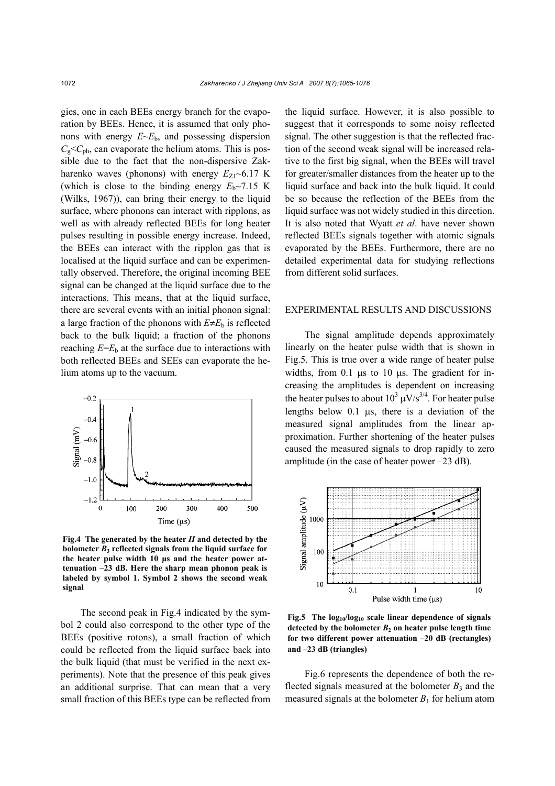gies, one in each BEEs energy branch for the evaporation by BEEs. Hence, it is assumed that only phonons with energy  $E \sim E_b$ , and possessing dispersion  $C_{\rm g}$ < $C_{\rm ph}$ , can evaporate the helium atoms. This is possible due to the fact that the non-dispersive Zakharenko waves (phonons) with energy  $E_{Z1}$ ~6.17 K (which is close to the binding energy  $E_b \sim 7.15$  K (Wilks, 1967)), can bring their energy to the liquid surface, where phonons can interact with ripplons, as well as with already reflected BEEs for long heater pulses resulting in possible energy increase. Indeed, the BEEs can interact with the ripplon gas that is localised at the liquid surface and can be experimentally observed. Therefore, the original incoming BEE signal can be changed at the liquid surface due to the interactions. This means, that at the liquid surface, there are several events with an initial phonon signal: a large fraction of the phonons with  $E \neq E_b$  is reflected back to the bulk liquid; a fraction of the phonons reaching  $E=E<sub>b</sub>$  at the surface due to interactions with both reflected BEEs and SEEs can evaporate the helium atoms up to the vacuum.



**Fig.4 The generated by the heater** *H* **and detected by the bolometer** *B***3 reflected signals from the liquid surface for the heater pulse width 10 µs and the heater power attenuation –23 dB. Here the sharp mean phonon peak is labeled by symbol 1. Symbol 2 shows the second weak signal** 

The second peak in Fig.4 indicated by the symbol 2 could also correspond to the other type of the BEEs (positive rotons), a small fraction of which could be reflected from the liquid surface back into the bulk liquid (that must be verified in the next experiments). Note that the presence of this peak gives an additional surprise. That can mean that a very small fraction of this BEEs type can be reflected from the liquid surface. However, it is also possible to suggest that it corresponds to some noisy reflected signal. The other suggestion is that the reflected fraction of the second weak signal will be increased relative to the first big signal, when the BEEs will travel for greater/smaller distances from the heater up to the liquid surface and back into the bulk liquid. It could be so because the reflection of the BEEs from the liquid surface was not widely studied in this direction. It is also noted that Wyatt *et al*. have never shown reflected BEEs signals together with atomic signals evaporated by the BEEs. Furthermore, there are no detailed experimental data for studying reflections from different solid surfaces.

#### EXPERIMENTAL RESULTS AND DISCUSSIONS

The signal amplitude depends approximately linearly on the heater pulse width that is shown in Fig.5. This is true over a wide range of heater pulse widths, from  $0.1$   $\mu$ s to  $10 \mu$ s. The gradient for increasing the amplitudes is dependent on increasing the heater pulses to about  $10^3 \mu\text{V/s}^{3/4}$ . For heater pulse lengths below 0.1 µs, there is a deviation of the measured signal amplitudes from the linear approximation. Further shortening of the heater pulses caused the measured signals to drop rapidly to zero amplitude (in the case of heater power –23 dB).



**Fig.5 The log10/log10 scale linear dependence of signals detected by the bolometer** *B***<sup>2</sup> on heater pulse length time for two different power attenuation –20 dB (rectangles) and –23 dB (triangles)** 

Fig.6 represents the dependence of both the reflected signals measured at the bolometer  $B_3$  and the measured signals at the bolometer  $B_1$  for helium atom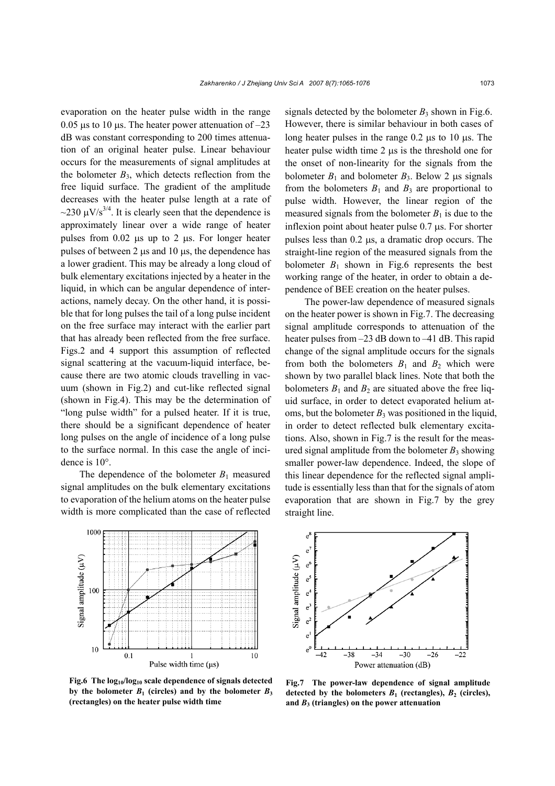evaporation on the heater pulse width in the range 0.05  $\mu$ s to 10  $\mu$ s. The heater power attenuation of -23 dB was constant corresponding to 200 times attenuation of an original heater pulse. Linear behaviour occurs for the measurements of signal amplitudes at the bolometer  $B_3$ , which detects reflection from the free liquid surface. The gradient of the amplitude decreases with the heater pulse length at a rate of ~230  $\mu$ V/s<sup>3/4</sup>. It is clearly seen that the dependence is approximately linear over a wide range of heater pulses from  $0.02$  µs up to 2 µs. For longer heater pulses of between 2 µs and 10 µs, the dependence has a lower gradient. This may be already a long cloud of bulk elementary excitations injected by a heater in the liquid, in which can be angular dependence of interactions, namely decay. On the other hand, it is possible that for long pulses the tail of a long pulse incident on the free surface may interact with the earlier part that has already been reflected from the free surface. Figs.2 and 4 support this assumption of reflected signal scattering at the vacuum-liquid interface, because there are two atomic clouds travelling in vacuum (shown in Fig.2) and cut-like reflected signal (shown in Fig.4). This may be the determination of "long pulse width" for a pulsed heater. If it is true, there should be a significant dependence of heater long pulses on the angle of incidence of a long pulse to the surface normal. In this case the angle of incidence is 10°.

The dependence of the bolometer  $B_1$  measured signal amplitudes on the bulk elementary excitations to evaporation of the helium atoms on the heater pulse width is more complicated than the case of reflected



**Fig.6 The log10/log10 scale dependence of signals detected** by the bolometer  $B_1$  (circles) and by the bolometer  $B_3$ **(rectangles) on the heater pulse width time** 

signals detected by the bolometer  $B_3$  shown in Fig.6. However, there is similar behaviour in both cases of long heater pulses in the range 0.2 µs to 10 µs. The heater pulse width time 2  $\mu$ s is the threshold one for the onset of non-linearity for the signals from the bolometer  $B_1$  and bolometer  $B_3$ . Below 2  $\mu$ s signals from the bolometers  $B_1$  and  $B_3$  are proportional to pulse width. However, the linear region of the measured signals from the bolometer  $B_1$  is due to the inflexion point about heater pulse 0.7 µs. For shorter pulses less than 0.2 µs, a dramatic drop occurs. The straight-line region of the measured signals from the bolometer  $B_1$  shown in Fig.6 represents the best working range of the heater, in order to obtain a dependence of BEE creation on the heater pulses.

The power-law dependence of measured signals on the heater power is shown in Fig.7. The decreasing signal amplitude corresponds to attenuation of the heater pulses from  $-23$  dB down to  $-41$  dB. This rapid change of the signal amplitude occurs for the signals from both the bolometers  $B_1$  and  $B_2$  which were shown by two parallel black lines. Note that both the bolometers  $B_1$  and  $B_2$  are situated above the free liquid surface, in order to detect evaporated helium atoms, but the bolometer  $B_3$  was positioned in the liquid, in order to detect reflected bulk elementary excitations. Also, shown in Fig.7 is the result for the measured signal amplitude from the bolometer  $B_3$  showing smaller power-law dependence. Indeed, the slope of this linear dependence for the reflected signal amplitude is essentially less than that for the signals of atom evaporation that are shown in Fig.7 by the grey straight line.



**Fig.7 The power-law dependence of signal amplitude**  detected by the bolometers  $B_1$  (rectangles),  $B_2$  (circles), **and** *B***3 (triangles) on the power attenuation**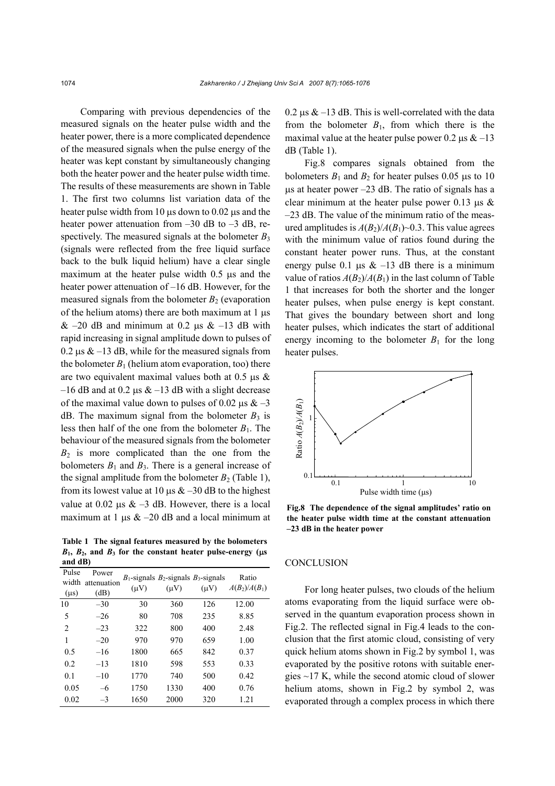Comparing with previous dependencies of the measured signals on the heater pulse width and the heater power, there is a more complicated dependence of the measured signals when the pulse energy of the heater was kept constant by simultaneously changing both the heater power and the heater pulse width time. The results of these measurements are shown in Table 1. The first two columns list variation data of the heater pulse width from 10  $\mu$ s down to 0.02  $\mu$ s and the heater power attenuation from  $-30$  dB to  $-3$  dB, respectively. The measured signals at the bolometer  $B_3$ (signals were reflected from the free liquid surface back to the bulk liquid helium) have a clear single maximum at the heater pulse width 0.5  $\mu$ s and the heater power attenuation of –16 dB. However, for the measured signals from the bolometer  $B_2$  (evaporation of the helium atoms) there are both maximum at 1 µs  $& 20$  dB and minimum at 0.2 us  $& 13$  dB with rapid increasing in signal amplitude down to pulses of  $0.2 \,\mu s \& -13 \,\text{dB}$ , while for the measured signals from the bolometer  $B_1$  (helium atom evaporation, too) there are two equivalent maximal values both at  $0.5 \text{ }\mu\text{s}$ –16 dB and at 0.2  $\mu$ s & –13 dB with a slight decrease of the maximal value down to pulses of 0.02  $\mu$ s & -3 dB. The maximum signal from the bolometer  $B_3$  is less then half of the one from the bolometer  $B_1$ . The behaviour of the measured signals from the bolometer  $B_2$  is more complicated than the one from the bolometers  $B_1$  and  $B_3$ . There is a general increase of the signal amplitude from the bolometer  $B_2$  (Table 1), from its lowest value at 10  $\mu$ s & -30 dB to the highest value at 0.02  $\mu$ s & -3 dB. However, there is a local maximum at 1  $\mu$ s & -20 dB and a local minimum at

**Table 1 The signal features measured by the bolometers**  $B_1$ ,  $B_2$ , and  $B_3$  for the constant heater pulse-energy ( $\mu s$ **and dB)** 

| Pulse<br>width<br>$(\mu s)$ | Power<br>attenuation<br>(dB) | $(\mu V)$ | $B_1$ -signals $B_2$ -signals $B_3$ -signals<br>$(\mu V)$ | $(\mu V)$ | Ratio<br>$A(B_2)/A(B_1)$ |
|-----------------------------|------------------------------|-----------|-----------------------------------------------------------|-----------|--------------------------|
| 10                          | $-30$                        | 30        | 360                                                       | 126       | 12.00                    |
| 5                           | $-26$                        | 80        | 708                                                       | 235       | 8.85                     |
| $\overline{2}$              | $-23$                        | 322       | 800                                                       | 400       | 2.48                     |
| 1                           | $-20$                        | 970       | 970                                                       | 659       | 1.00                     |
| 0.5                         | $-16$                        | 1800      | 665                                                       | 842       | 0.37                     |
| 0.2                         | $-13$                        | 1810      | 598                                                       | 553       | 0.33                     |
| 0.1                         | $-10$                        | 1770      | 740                                                       | 500       | 0.42                     |
| 0.05                        | $-6$                         | 1750      | 1330                                                      | 400       | 0.76                     |
| 0.02                        | $-3$                         | 1650      | 2000                                                      | 320       | 1.21                     |

0.2  $\mu$ s & –13 dB. This is well-correlated with the data from the bolometer  $B_1$ , from which there is the maximal value at the heater pulse power 0.2  $\mu$ s & -13 dB (Table 1).

Fig.8 compares signals obtained from the bolometers  $B_1$  and  $B_2$  for heater pulses 0.05  $\mu$ s to 10  $\mu$ s at heater power –23 dB. The ratio of signals has a clear minimum at the heater pulse power  $0.13 \text{ }\mu\text{s}$ –23 dB. The value of the minimum ratio of the measured amplitudes is  $A(B_2)/A(B_1)$ ~0.3. This value agrees with the minimum value of ratios found during the constant heater power runs. Thus, at the constant energy pulse 0.1  $\mu$ s & -13 dB there is a minimum value of ratios  $A(B_2)/A(B_1)$  in the last column of Table 1 that increases for both the shorter and the longer heater pulses, when pulse energy is kept constant. That gives the boundary between short and long heater pulses, which indicates the start of additional energy incoming to the bolometer  $B_1$  for the long heater pulses.



**Fig.8 The dependence of the signal amplitudes' ratio on the heater pulse width time at the constant attenuation –23 dB in the heater power** 

#### **CONCLUSION**

For long heater pulses, two clouds of the helium atoms evaporating from the liquid surface were observed in the quantum evaporation process shown in Fig.2. The reflected signal in Fig.4 leads to the conclusion that the first atomic cloud, consisting of very quick helium atoms shown in Fig.2 by symbol 1, was evaporated by the positive rotons with suitable energies ~17 K, while the second atomic cloud of slower helium atoms, shown in Fig.2 by symbol 2, was evaporated through a complex process in which there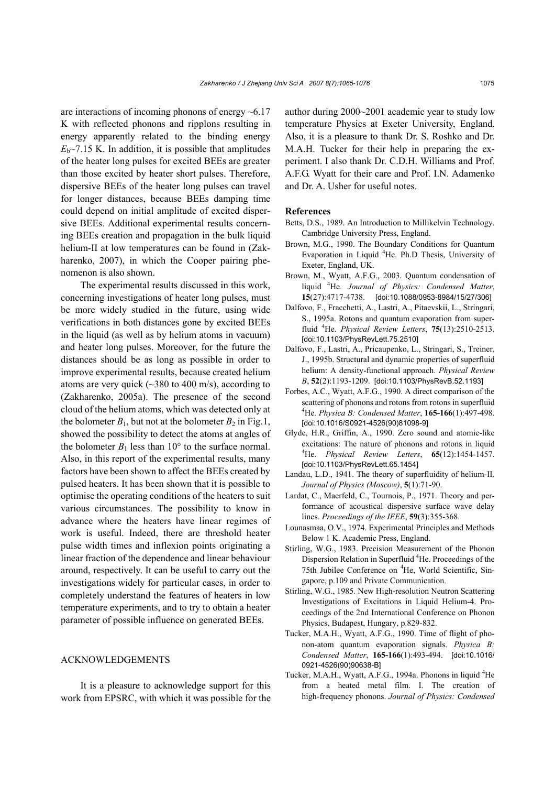are interactions of incoming phonons of energy  $~6.17$ K with reflected phonons and ripplons resulting in energy apparently related to the binding energy  $E<sub>b</sub>$   $\sim$  7.15 K. In addition, it is possible that amplitudes of the heater long pulses for excited BEEs are greater than those excited by heater short pulses. Therefore, dispersive BEEs of the heater long pulses can travel for longer distances, because BEEs damping time could depend on initial amplitude of excited dispersive BEEs. Additional experimental results concerning BEEs creation and propagation in the bulk liquid helium-II at low temperatures can be found in (Zakharenko, 2007), in which the Cooper pairing phenomenon is also shown.

The experimental results discussed in this work, concerning investigations of heater long pulses, must be more widely studied in the future, using wide verifications in both distances gone by excited BEEs in the liquid (as well as by helium atoms in vacuum) and heater long pulses. Moreover, for the future the distances should be as long as possible in order to improve experimental results, because created helium atoms are very quick ( $\sim$ 380 to 400 m/s), according to (Zakharenko, 2005a). The presence of the second cloud of the helium atoms, which was detected only at the bolometer  $B_1$ , but not at the bolometer  $B_2$  in Fig.1, showed the possibility to detect the atoms at angles of the bolometer  $B_1$  less than 10 $\degree$  to the surface normal. Also, in this report of the experimental results, many factors have been shown to affect the BEEs created by pulsed heaters. It has been shown that it is possible to optimise the operating conditions of the heaters to suit various circumstances. The possibility to know in advance where the heaters have linear regimes of work is useful. Indeed, there are threshold heater pulse width times and inflexion points originating a linear fraction of the dependence and linear behaviour around, respectively. It can be useful to carry out the investigations widely for particular cases, in order to completely understand the features of heaters in low temperature experiments, and to try to obtain a heater parameter of possible influence on generated BEEs.

### ACKNOWLEDGEMENTS

It is a pleasure to acknowledge support for this work from EPSRC, with which it was possible for the author during 2000~2001 academic year to study low temperature Physics at Exeter University, England. Also, it is a pleasure to thank Dr. S. Roshko and Dr. M.A.H. Tucker for their help in preparing the experiment. I also thank Dr. C.D.H. Williams and Prof. A.F.G. Wyatt for their care and Prof. I.N. Adamenko and Dr. A. Usher for useful notes.

#### **References**

- Betts, D.S., 1989. An Introduction to Millikelvin Technology. Cambridge University Press, England.
- Brown, M.G., 1990. The Boundary Conditions for Quantum Evaporation in Liquid <sup>4</sup>He. Ph.D Thesis, University of Exeter, England, UK.
- Brown, M., Wyatt, A.F.G., 2003. Quantum condensation of liquid <sup>4</sup> He. *Journal of Physics: Condensed Matter*, **15**(27):4717-4738. [doi:10.1088/0953-8984/15/27/306]
- Dalfovo, F., Fracchetti, A., Lastri, A., Pitaevskii, L., Stringari, S., 1995a. Rotons and quantum evaporation from superfluid <sup>4</sup> He. *Physical Review Letters*, **75**(13):2510-2513. [doi:10.1103/PhysRevLett.75.2510]
- Dalfovo, F., Lastri, A., Pricaupenko, L., Stringari, S., Treiner, J., 1995b. Structural and dynamic properties of superfluid helium: A density-functional approach. *Physical Review B*, **52**(2):1193-1209. [doi:10.1103/PhysRevB.52.1193]
- Forbes, A.C., Wyatt, A.F.G., 1990. A direct comparison of the scattering of phonons and rotons from rotons in superfluid 4 He. *Physica B: Condensed Matter*, **165-166**(1):497-498. [doi:10.1016/S0921-4526(90)81098-9]
- Glyde, H.R., Griffin, A., 1990. Zero sound and atomic-like excitations: The nature of phonons and rotons in liquid 4 He. *Physical Review Letters*, **65**(12):1454-1457. [doi:10.1103/PhysRevLett.65.1454]
- Landau, L.D., 1941. The theory of superfluidity of helium-II. *Journal of Physics (Moscow)*, **5**(1):71-90.
- Lardat, C., Maerfeld, C., Tournois, P., 1971. Theory and performance of acoustical dispersive surface wave delay lines. *Proceedings of the IEEE*, **59**(3):355-368.
- Lounasmaa, O.V., 1974. Experimental Principles and Methods Below 1 K. Academic Press, England.
- Stirling, W.G., 1983. Precision Measurement of the Phonon Dispersion Relation in Superfluid <sup>4</sup>He. Proceedings of the 75th Jubilee Conference on <sup>4</sup>He, World Scientific, Singapore, p.109 and Private Communication.
- Stirling, W.G., 1985. New High-resolution Neutron Scattering Investigations of Excitations in Liquid Helium-4. Proceedings of the 2nd International Conference on Phonon Physics, Budapest, Hungary, p.829-832.
- Tucker, M.A.H., Wyatt, A.F.G., 1990. Time of flight of phonon-atom quantum evaporation signals. *Physica B: Condensed Matter*, **165-166**(1):493-494. [doi:10.1016/ 0921-4526(90)90638-B]
- Tucker, M.A.H., Wyatt, A.F.G., 1994a. Phonons in liquid <sup>4</sup>He from a heated metal film. I. The creation of high-frequency phonons. *Journal of Physics: Condensed*